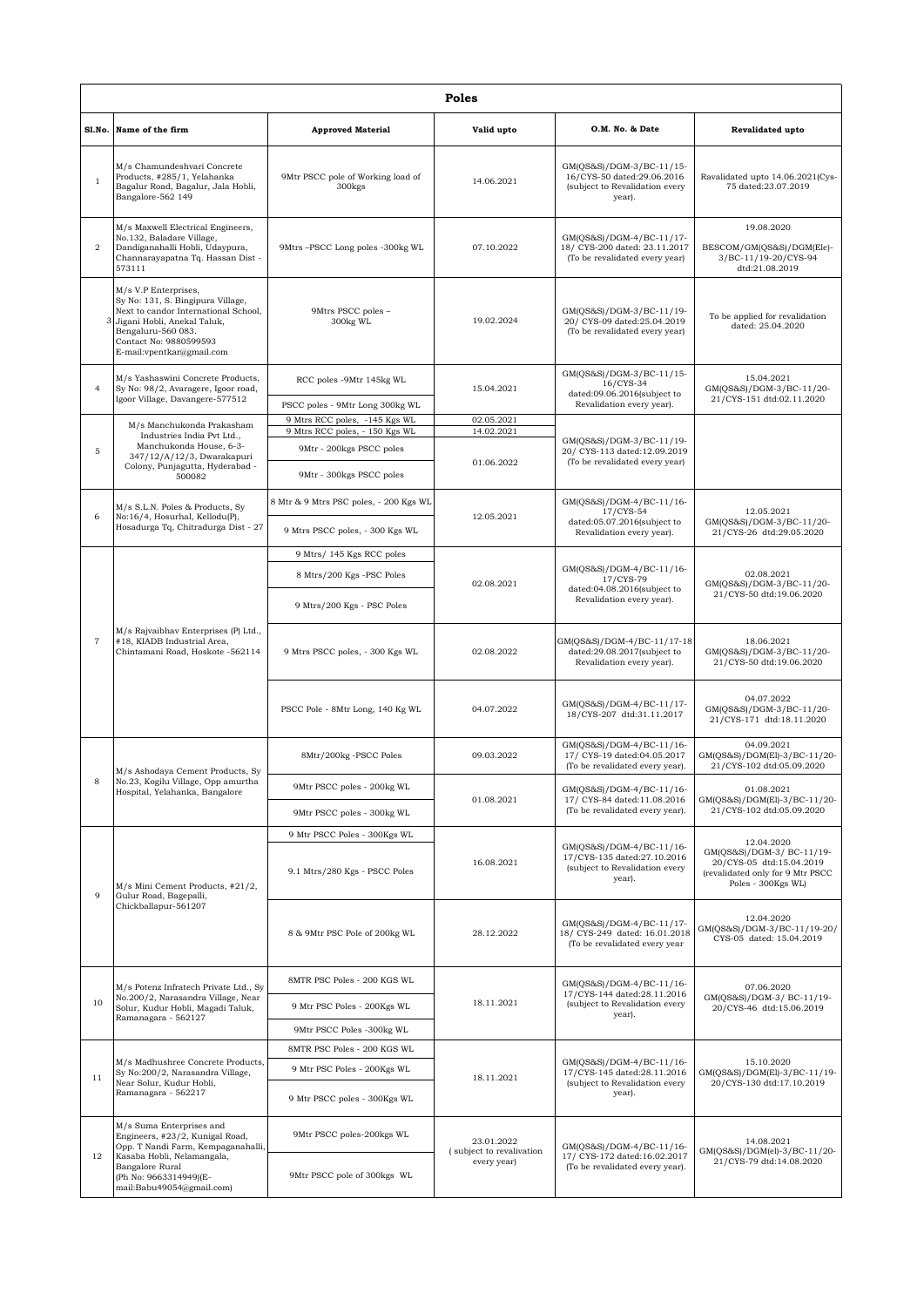|                | Poles                                                                                                                                                                                                           |                                                             |                                                       |                                                                                                     |                                                                                                                               |  |  |
|----------------|-----------------------------------------------------------------------------------------------------------------------------------------------------------------------------------------------------------------|-------------------------------------------------------------|-------------------------------------------------------|-----------------------------------------------------------------------------------------------------|-------------------------------------------------------------------------------------------------------------------------------|--|--|
|                | Sl.No. Name of the firm                                                                                                                                                                                         | <b>Approved Material</b>                                    | Valid upto                                            | O.M. No. & Date                                                                                     | Revalidated upto                                                                                                              |  |  |
| $\mathbf{1}$   | M/s Chamundeshvari Concrete<br>Products, #285/1, Yelahanka<br>Bagalur Road, Bagalur, Jala Hobli,<br>Bangalore-562 149                                                                                           | 9Mtr PSCC pole of Working load of<br>300 <sub>kgs</sub>     | 14.06.2021                                            | GM(QS&S)/DGM-3/BC-11/15-<br>16/CYS-50 dated:29.06.2016<br>(subject to Revalidation every<br>year).  | Ravalidated upto 14.06.2021(Cys-<br>75 dated:23.07.2019                                                                       |  |  |
| 2              | M/s Maxwell Electrical Engineers,<br>No.132, Baladare Village,<br>Dandiganahalli Hobli, Udaypura,<br>Channarayapatna Tq. Hassan Dist -<br>573111                                                                | 9Mtrs-PSCC Long poles -300kg WL                             | 07.10.2022                                            | GM(QS&S)/DGM-4/BC-11/17-<br>18/ CYS-200 dated: 23.11.2017<br>(To be revalidated every year)         | 19.08.2020<br>BESCOM/GM(QS&S)/DGM(Ele)-<br>3/BC-11/19-20/CYS-94<br>dtd:21.08.2019                                             |  |  |
|                | M/s V.P Enterprises,<br>Sy No: 131, S. Bingipura Village,<br>Next to candor International School,<br>3 Jigani Hobli, Anekal Taluk,<br>Bengaluru-560 083.<br>Contact No: 9880599593<br>E-mail:vpentkar@gmail.com | 9Mtrs PSCC poles -<br>300kg WL                              | 19.02.2024                                            | GM(QS&S)/DGM-3/BC-11/19-<br>20/ CYS-09 dated:25.04.2019<br>(To be revalidated every year)           | To be applied for revalidation<br>dated: 25.04.2020                                                                           |  |  |
| $\overline{4}$ | M/s Yashaswini Concrete Products,<br>Sy No: 98/2, Avaragere, Igoor road,<br>Igoor Village, Davangere-577512                                                                                                     | RCC poles -9Mtr 145kg WL<br>PSCC poles - 9Mtr Long 300kg WL | 15.04.2021                                            | GM(QS&S)/DGM-3/BC-11/15-<br>16/CYS-34<br>dated:09.06.2016(subject to<br>Revalidation every year).   | 15.04.2021<br>GM(QS&S)/DGM-3/BC-11/20-<br>21/CYS-151 dtd:02.11.2020                                                           |  |  |
|                |                                                                                                                                                                                                                 | 9 Mtrs RCC poles, -145 Kgs WL                               | 02.05.2021                                            |                                                                                                     |                                                                                                                               |  |  |
| 5              | M/s Manchukonda Prakasham<br>Industries India Pvt Ltd.,<br>Manchukonda House, 6-3-<br>347/12/A/12/3, Dwarakapuri                                                                                                | 9 Mtrs RCC poles, - 150 Kgs WL<br>9Mtr - 200kgs PSCC poles  | 14.02.2021                                            | GM(QS&S)/DGM-3/BC-11/19-<br>20/ CYS-113 dated:12.09.2019                                            |                                                                                                                               |  |  |
|                | Colony, Punjagutta, Hyderabad -<br>500082                                                                                                                                                                       | 9Mtr - 300kgs PSCC poles                                    | 01.06.2022                                            | (To be revalidated every year)                                                                      |                                                                                                                               |  |  |
| 6              | M/s S.L.N. Poles & Products, Sy<br>No:16/4, Hosurhal, Kellodu(P),                                                                                                                                               | 8 Mtr & 9 Mtrs PSC poles, - 200 Kgs WL                      | 12.05.2021                                            | GM(QS&S)/DGM-4/BC-11/16-<br>17/CYS-54<br>dated:05.07.2016(subject to                                | 12.05.2021<br>GM(QS&S)/DGM-3/BC-11/20-                                                                                        |  |  |
|                | Hosadurga Tq, Chitradurga Dist - 27                                                                                                                                                                             | 9 Mtrs PSCC poles, - 300 Kgs WL                             |                                                       | Revalidation every year).                                                                           | 21/CYS-26 dtd:29.05.2020                                                                                                      |  |  |
|                |                                                                                                                                                                                                                 | 9 Mtrs/ 145 Kgs RCC poles                                   |                                                       | GM(QS&S)/DGM-4/BC-11/16-<br>17/CYS-79<br>dated:04.08.2016(subject to<br>Revalidation every year).   | 02.08.2021<br>GM(QS&S)/DGM-3/BC-11/20-<br>21/CYS-50 dtd:19.06.2020                                                            |  |  |
|                |                                                                                                                                                                                                                 | 8 Mtrs/200 Kgs -PSC Poles                                   | 02.08.2021                                            |                                                                                                     |                                                                                                                               |  |  |
|                | M/s Rajvaibhav Enterprises (P) Ltd.,<br>#18, KIADB Industrial Area,<br>Chintamani Road, Hoskote -562114                                                                                                         | 9 Mtrs/200 Kgs - PSC Poles                                  |                                                       |                                                                                                     |                                                                                                                               |  |  |
| $\overline{7}$ |                                                                                                                                                                                                                 | 9 Mtrs PSCC poles, - 300 Kgs WL                             | 02.08.2022                                            | GM(QS&S)/DGM-4/BC-11/17-18<br>dated:29.08.2017(subject to<br>Revalidation every year).              | 18.06.2021<br>GM(QS&S)/DGM-3/BC-11/20-<br>21/CYS-50 dtd:19.06.2020                                                            |  |  |
|                |                                                                                                                                                                                                                 | PSCC Pole - 8Mtr Long, 140 Kg WL                            | 04.07.2022                                            | GM(QS&S)/DGM-4/BC-11/17-<br>18/CYS-207 dtd:31.11.2017                                               | 04.07.2022<br>GM(QS&S)/DGM-3/BC-11/20-<br>21/CYS-171 dtd:18.11.2020                                                           |  |  |
|                | M/s Ashodaya Cement Products, Sy                                                                                                                                                                                | 8Mtr/200kg -PSCC Poles                                      | 09.03.2022                                            | GM(QS&S)/DGM-4/BC-11/16-<br>17/ CYS-19 dated:04.05.2017<br>(To be revalidated every year).          | 04.09.2021<br>GM(QS&S)/DGM(El)-3/BC-11/20-<br>21/CYS-102 dtd:05.09.2020                                                       |  |  |
|                | No.23, Kogilu Village, Opp amurtha<br>Hospital, Yelahanka, Bangalore                                                                                                                                            | 9Mtr PSCC poles - 200kg WL                                  | 01.08.2021                                            | GM(QS&S)/DGM-4/BC-11/16-<br>17/ CYS-84 dated:11.08.2016<br>(To be revalidated every year).          | 01.08.2021<br>GM(QS&S)/DGM(El)-3/BC-11/20-<br>21/CYS-102 dtd:05.09.2020                                                       |  |  |
|                |                                                                                                                                                                                                                 | 9Mtr PSCC poles - 300kg WL                                  |                                                       |                                                                                                     |                                                                                                                               |  |  |
|                |                                                                                                                                                                                                                 | 9 Mtr PSCC Poles - 300Kgs WL                                |                                                       |                                                                                                     |                                                                                                                               |  |  |
| 9              | M/s Mini Cement Products, #21/2,<br>Gulur Road, Bagepalli,<br>Chickballapur-561207                                                                                                                              | 9.1 Mtrs/280 Kgs - PSCC Poles                               | 16.08.2021                                            | GM(QS&S)/DGM-4/BC-11/16-<br>17/CYS-135 dated:27.10.2016<br>(subject to Revalidation every<br>year). | 12.04.2020<br>GM(QS&S)/DGM-3/ BC-11/19-<br>20/CYS-05 dtd:15.04.2019<br>(revalidated only for 9 Mtr PSCC<br>Poles - 300Kgs WL) |  |  |
|                |                                                                                                                                                                                                                 | 8 & 9Mtr PSC Pole of 200kg WL                               | 28.12.2022                                            | GM(QS&S)/DGM-4/BC-11/17-<br>18/ CYS-249 dated: 16.01.2018<br>(To be revalidated every year)         | 12.04.2020<br>GM(QS&S)/DGM-3/BC-11/19-20/<br>CYS-05 dated: 15.04.2019                                                         |  |  |
|                | M/s Potenz Infratech Private Ltd., Sy<br>No.200/2, Narasandra Village, Near<br>Solur, Kudur Hobli, Magadi Taluk,<br>Ramanagara - 562127                                                                         | 8MTR PSC Poles - 200 KGS WL                                 | 18.11.2021                                            | GM(QS&S)/DGM-4/BC-11/16-<br>17/CYS-144 dated:28.11.2016<br>(subject to Revalidation every<br>year). | 07.06.2020                                                                                                                    |  |  |
| 10             |                                                                                                                                                                                                                 | 9 Mtr PSC Poles - 200Kgs WL                                 |                                                       |                                                                                                     | GM(QS&S)/DGM-3/ BC-11/19-<br>20/CYS-46 dtd:15.06.2019                                                                         |  |  |
|                |                                                                                                                                                                                                                 | 9Mtr PSCC Poles -300kg WL                                   |                                                       |                                                                                                     |                                                                                                                               |  |  |
|                | M/s Madhushree Concrete Products,<br>Sy No:200/2, Narasandra Village,<br>Near Solur, Kudur Hobli,<br>Ramanagara - 562217                                                                                        | 8MTR PSC Poles - 200 KGS WL                                 | 18.11.2021                                            | GM(QS&S)/DGM-4/BC-11/16-<br>17/CYS-145 dated:28.11.2016<br>(subject to Revalidation every<br>year). |                                                                                                                               |  |  |
| 11             |                                                                                                                                                                                                                 | 9 Mtr PSC Poles - 200Kgs WL                                 |                                                       |                                                                                                     | 15.10.2020<br>GM(QS&S)/DGM(El)-3/BC-11/19-<br>20/CYS-130 dtd:17.10.2019                                                       |  |  |
|                |                                                                                                                                                                                                                 | 9 Mtr PSCC poles - 300Kgs WL                                |                                                       |                                                                                                     |                                                                                                                               |  |  |
|                | M/s Suma Enterprises and<br>Engineers, #23/2, Kunigal Road,<br>Opp. T Nandi Farm, Kempaganahalli,<br>Kasaba Hobli, Nelamangala,<br>Bangalore Rural<br>(Ph No: 9663314949)(E-<br>mail:Babu49054@gmail.com)       | 9Mtr PSCC poles-200kgs WL                                   | 23.01.2022<br>(subject to revalivation<br>every year) | GM(QS&S)/DGM-4/BC-11/16-<br>17/ CYS-172 dated:16.02.2017<br>(To be revalidated every year).         | 14.08.2021<br>GM(QS&S)/DGM(el)-3/BC-11/20-<br>21/CYS-79 dtd:14.08.2020                                                        |  |  |
| 12             |                                                                                                                                                                                                                 | 9Mtr PSCC pole of 300kgs WL                                 |                                                       |                                                                                                     |                                                                                                                               |  |  |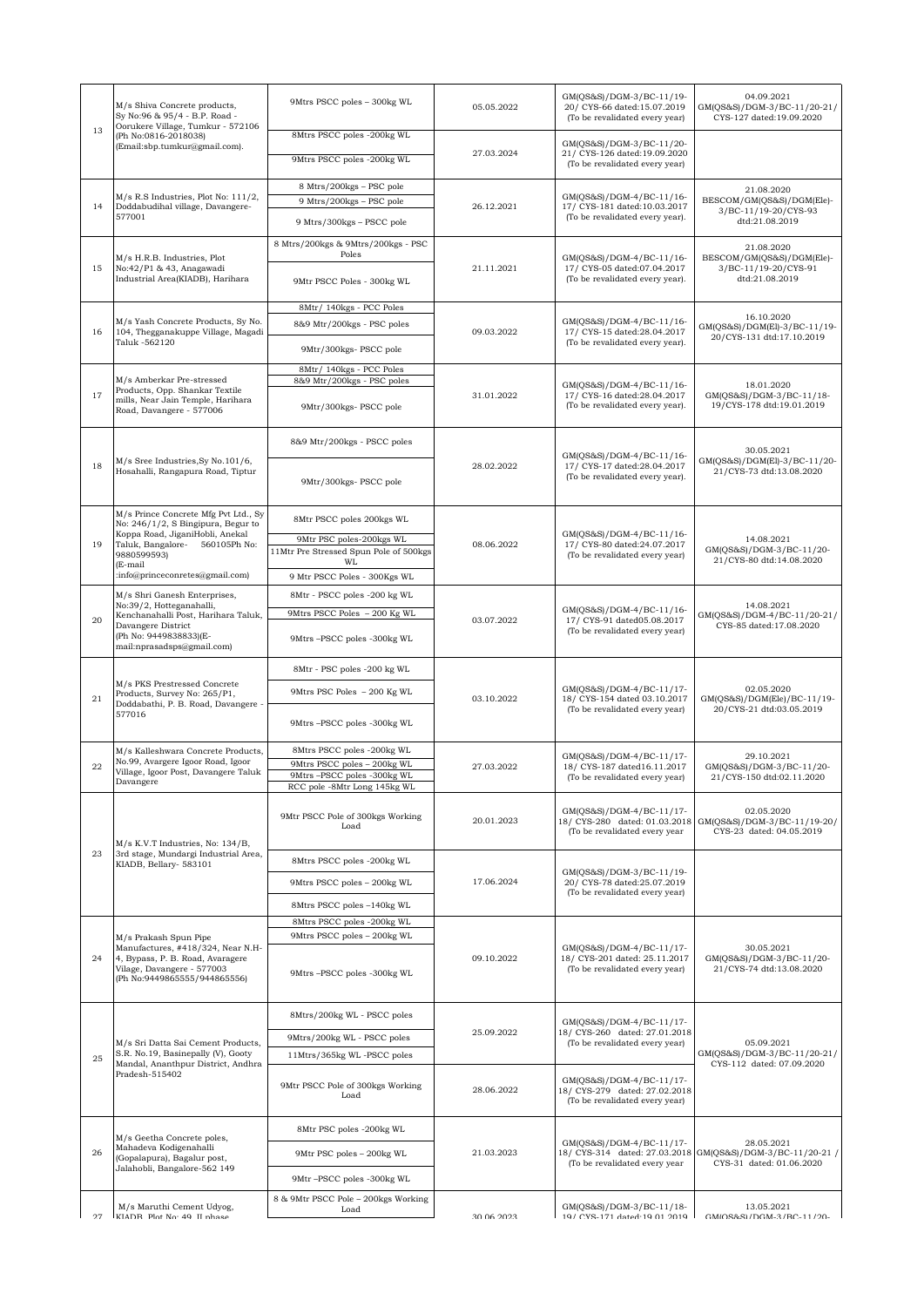| 13 | M/s Shiva Concrete products,<br>Sy No:96 & 95/4 - B.P. Road -<br>Oorukere Village, Tumkur - 572106<br>(Ph No:0816-2018038)<br>(Email:sbp.tumkur@gmail.com).                                                     | 9Mtrs PSCC poles - 300kg WL                                                                                                           | 05.05.2022  | GM(QS&S)/DGM-3/BC-11/19-<br>20/ CYS-66 dated:15.07.2019<br>(To be revalidated every year)   | 04.09.2021<br>GM(QS&S)/DGM-3/BC-11/20-21/<br>CYS-127 dated:19.09.2020             |
|----|-----------------------------------------------------------------------------------------------------------------------------------------------------------------------------------------------------------------|---------------------------------------------------------------------------------------------------------------------------------------|-------------|---------------------------------------------------------------------------------------------|-----------------------------------------------------------------------------------|
|    |                                                                                                                                                                                                                 | 8Mtrs PSCC poles -200kg WL<br>9Mtrs PSCC poles -200kg WL                                                                              | 27.03.2024  | GM(QS&S)/DGM-3/BC-11/20-<br>21/ CYS-126 dated:19.09.2020<br>(To be revalidated every year)  |                                                                                   |
| 14 | M/s R.S Industries, Plot No: 111/2,<br>Doddabudihal village, Davangere-<br>577001                                                                                                                               | 8 Mtrs/200kgs - PSC pole<br>9 Mtrs/200kgs - PSC pole<br>9 Mtrs/300kgs - PSCC pole                                                     | 26.12.2021  | GM(QS&S)/DGM-4/BC-11/16-<br>17/ CYS-181 dated:10.03.2017<br>(To be revalidated every year). | 21.08.2020<br>BESCOM/GM(QS&S)/DGM(Ele)-<br>3/BC-11/19-20/CYS-93<br>dtd:21.08.2019 |
| 15 | M/s H.R.B. Industries, Plot<br>No:42/P1 & 43, Anagawadi<br>Industrial Area(KIADB), Harihara                                                                                                                     | 8 Mtrs/200kgs & 9Mtrs/200kgs - PSC<br>Poles<br>9Mtr PSCC Poles - 300kg WL                                                             | 21.11.2021  | GM(QS&S)/DGM-4/BC-11/16-<br>17/ CYS-05 dated:07.04.2017<br>(To be revalidated every year).  | 21.08.2020<br>BESCOM/GM(QS&S)/DGM(Ele)-<br>3/BC-11/19-20/CYS-91<br>dtd:21.08.2019 |
| 16 | M/s Yash Concrete Products, Sy No.<br>104, Thegganakuppe Village, Magadi<br>Taluk -562120                                                                                                                       | 8Mtr/ 140kgs - PCC Poles<br>8&9 Mtr/200kgs - PSC poles<br>9Mtr/300kgs- PSCC pole                                                      | 09.03.2022  | GM(QS&S)/DGM-4/BC-11/16-<br>17/ CYS-15 dated:28.04.2017<br>(To be revalidated every year).  | 16.10.2020<br>GM(QS&S)/DGM(El)-3/BC-11/19-<br>20/CYS-131 dtd:17.10.2019           |
| 17 | M/s Amberkar Pre-stressed<br>Products, Opp. Shankar Textile<br>mills, Near Jain Temple, Harihara<br>Road, Davangere - 577006                                                                                    | 8Mtr/ 140kgs - PCC Poles<br>8&9 Mtr/200kgs - PSC poles<br>9Mtr/300kgs- PSCC pole                                                      | 31.01.2022  | GM(QS&S)/DGM-4/BC-11/16-<br>17/ CYS-16 dated:28.04.2017<br>(To be revalidated every year).  | 18.01.2020<br>GM(QS&S)/DGM-3/BC-11/18-<br>19/CYS-178 dtd:19.01.2019               |
| 18 | M/s Sree Industries, Sy No.101/6,<br>Hosahalli, Rangapura Road, Tiptur                                                                                                                                          | 8&9 Mtr/200kgs - PSCC poles<br>9Mtr/300kgs- PSCC pole                                                                                 | 28.02.2022  | GM(QS&S)/DGM-4/BC-11/16-<br>17/ CYS-17 dated:28.04.2017<br>(To be revalidated every year).  | 30.05.2021<br>GM(QS&S)/DGM(El)-3/BC-11/20-<br>21/CYS-73 dtd:13.08.2020            |
| 19 | M/s Prince Concrete Mfg Pvt Ltd., Sv<br>No: 246/1/2, S Bingipura, Begur to<br>Koppa Road, JiganiHobli, Anekal<br>560105Ph No:<br>Taluk, Bangalore-<br>9880599593)<br>(E-mail<br>:info@princeconretes@gmail.com) | 8Mtr PSCC poles 200kgs WL<br>9Mtr PSC poles-200kgs WL<br>11Mtr Pre Stressed Spun Pole of 500kgs<br>WL<br>9 Mtr PSCC Poles - 300Kgs WL | 08.06.2022  | GM(QS&S)/DGM-4/BC-11/16-<br>17/ CYS-80 dated:24.07.2017<br>(To be revalidated every year)   | 14.08.2021<br>GM(QS&S)/DGM-3/BC-11/20-<br>21/CYS-80 dtd:14.08.2020                |
| 20 | M/s Shri Ganesh Enterprises,<br>No:39/2, Hotteganahalli,<br>Kenchanahalli Post, Harihara Taluk,<br>Davangere District<br>(Ph No: 9449838833)(E-<br>mail:nprasadsps@gmail.com)                                   | 8Mtr - PSCC poles -200 kg WL<br>9Mtrs PSCC Poles - 200 Kg WL<br>9Mtrs-PSCC poles -300kg WL                                            | 03.07.2022  | GM(QS&S)/DGM-4/BC-11/16-<br>17/ CYS-91 dated05.08.2017<br>(To be revalidated every year)    | 14.08.2021<br>GM(QS&S)/DGM-4/BC-11/20-21/<br>CYS-85 dated:17.08.2020              |
| 21 | M/s PKS Prestressed Concrete<br>Products, Survey No: 265/P1,<br>Doddabathi, P. B. Road, Davangere<br>577016                                                                                                     | 8Mtr - PSC poles -200 kg WL<br>9Mtrs PSC Poles - 200 Kg WL<br>9Mtrs-PSCC poles -300kg WL                                              | 03.10.2022  | GM(QS&S)/DGM-4/BC-11/17-<br>18/ CYS-154 dated 03.10.2017<br>(To be revalidated every year)  | 02.05.2020<br>GM(QS&S)/DGM(Ele)/BC-11/19-<br>20/CYS-21 dtd:03.05.2019             |
| 22 | M/s Kalleshwara Concrete Products,<br>No.99, Avargere Igoor Road, Igoor<br>Village, Igoor Post, Davangere Taluk<br>Davangere                                                                                    | 8Mtrs PSCC poles -200kg WL<br>9Mtrs PSCC poles - 200kg WL<br>9Mtrs-PSCC poles -300kg WL<br>RCC pole -8Mtr Long 145kg WL               | 27.03.2022  | GM(QS&S)/DGM-4/BC-11/17-<br>18/ CYS-187 dated16.11.2017<br>(To be revalidated every year)   | 29.10.2021<br>GM(QS&S)/DGM-3/BC-11/20-<br>21/CYS-150 dtd:02.11.2020               |
|    | M/s K.V.T Industries, No: 134/B,<br>3rd stage, Mundargi Industrial Area,<br>KIADB, Bellary- 583101                                                                                                              | 9Mtr PSCC Pole of 300kgs Working<br>Load                                                                                              | 20.01.2023  | GM(QS&S)/DGM-4/BC-11/17-<br>18/ CYS-280 dated: 01.03.2018<br>(To be revalidated every year  | 02.05.2020<br>GM(QS&S)/DGM-3/BC-11/19-20/<br>CYS-23 dated: 04.05.2019             |
| 23 |                                                                                                                                                                                                                 | 8Mtrs PSCC poles -200kg WL<br>9Mtrs PSCC poles - 200kg WL<br>8Mtrs PSCC poles -140kg WL                                               | 17.06.2024  | GM(QS&S)/DGM-3/BC-11/19-<br>20/ CYS-78 dated:25.07.2019<br>(To be revalidated every year)   |                                                                                   |
| 24 | M/s Prakash Spun Pipe<br>Manufactures, #418/324, Near N.H-<br>4, Bypass, P. B. Road, Avaragere<br>Vilage, Davangere - 577003<br>(Ph No:9449865555/944865556)                                                    | 8Mtrs PSCC poles -200kg WL<br>9Mtrs PSCC poles - 200kg WL<br>9Mtrs-PSCC poles -300kg WL                                               | 09.10.2022  | GM(QS&S)/DGM-4/BC-11/17-<br>18/ CYS-201 dated: 25.11.2017<br>(To be revalidated every year) | 30.05.2021<br>GM(QS&S)/DGM-3/BC-11/20-<br>21/CYS-74 dtd:13.08.2020                |
| 25 | M/s Sri Datta Sai Cement Products,<br>S.R. No.19, Basinepally (V), Gooty<br>Mandal, Ananthpur District, Andhra<br>Pradesh-515402                                                                                | 8Mtrs/200kg WL - PSCC poles<br>9Mtrs/200kg WL - PSCC poles<br>11Mtrs/365kg WL-PSCC poles                                              | 25.09.2022  | GM(QS&S)/DGM-4/BC-11/17-<br>18/ CYS-260 dated: 27.01.2018<br>(To be revalidated every year) | 05.09.2021<br>GM(QS&S)/DGM-3/BC-11/20-21/<br>CYS-112 dated: 07.09.2020            |
|    |                                                                                                                                                                                                                 | 9Mtr PSCC Pole of 300kgs Working<br>Load                                                                                              | 28.06.2022  | GM(QS&S)/DGM-4/BC-11/17-<br>18/ CYS-279 dated: 27.02.2018<br>(To be revalidated every year) |                                                                                   |
| 26 | M/s Geetha Concrete poles,<br>Mahadeva Kodigenahalli<br>(Gopalapura), Bagalur post,<br>Jalahobli, Bangalore-562 149                                                                                             | 8Mtr PSC poles -200kg WL<br>9Mtr PSC poles - 200kg WL<br>9Mtr-PSCC poles -300kg WL                                                    | 21.03.2023  | GM(QS&S)/DGM-4/BC-11/17-<br>18/ CYS-314 dated: 27.03.2018<br>(To be revalidated every year  | 28.05.2021<br>GM(QS&S)/DGM-3/BC-11/20-21 /<br>CYS-31 dated: 01.06.2020            |
| 27 | M/s Maruthi Cement Udyog,<br>KIADR Plot No: 40 II phase                                                                                                                                                         | 8 & 9Mtr PSCC Pole - 200kgs Working<br>Load                                                                                           | 20 UC 20 US | GM(QS&S)/DGM-3/BC-11/18-<br>10/ CVS-171 dated:10 01 2010                                    | 13.05.2021<br>GMIOS&S\/DGML3/RC_11/90.                                            |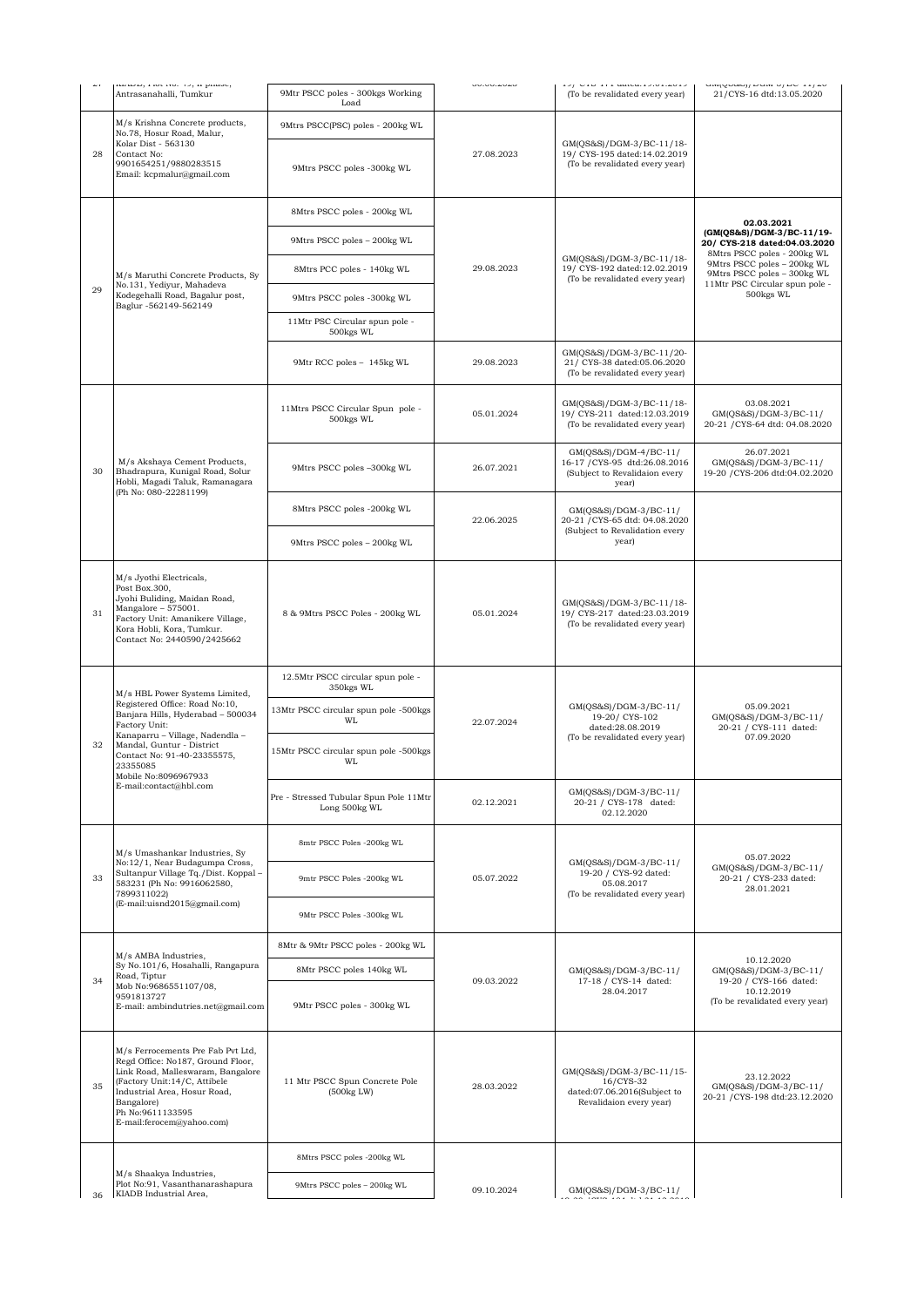| د په | nanoo, rao, no, 15, n paaso,<br>Antrasanahalli, Tumkur                                                                                                                                                                                                                              | 9Mtr PSCC poles - 300kgs Working<br>Load                | uu.uu.zuzu | 197 Groters universitätera<br>(To be revalidated every year)                                       | and from all none of the state<br>21/CYS-16 dtd:13.05.2020                                                |
|------|-------------------------------------------------------------------------------------------------------------------------------------------------------------------------------------------------------------------------------------------------------------------------------------|---------------------------------------------------------|------------|----------------------------------------------------------------------------------------------------|-----------------------------------------------------------------------------------------------------------|
|      | M/s Krishna Concrete products,<br>No.78, Hosur Road, Malur,                                                                                                                                                                                                                         | 9Mtrs PSCC(PSC) poles - 200kg WL                        | 27.08.2023 | GM(QS&S)/DGM-3/BC-11/18-<br>19/ CYS-195 dated:14.02.2019<br>(To be revalidated every year)         |                                                                                                           |
| 28   | Kolar Dist - 563130<br>Contact No:<br>9901654251/9880283515<br>Email: kcpmalur@gmail.com                                                                                                                                                                                            | 9Mtrs PSCC poles -300kg WL                              |            |                                                                                                    |                                                                                                           |
| 29   | M/s Maruthi Concrete Products, Sy<br>No.131, Yediyur, Mahadeva<br>Kodegehalli Road, Bagalur post,<br>Baglur -562149-562149                                                                                                                                                          | 8Mtrs PSCC poles - 200kg WL                             | 29.08.2023 | GM(QS&S)/DGM-3/BC-11/18-<br>19/ CYS-192 dated:12.02.2019<br>(To be revalidated every year)         | 02.03.2021                                                                                                |
|      |                                                                                                                                                                                                                                                                                     | 9Mtrs PSCC poles - 200kg WL                             |            |                                                                                                    | (GM(QS&S)/DGM-3/BC-11/19-<br>20/ CYS-218 dated:04.03.2020<br>8Mtrs PSCC poles - 200kg WL                  |
|      |                                                                                                                                                                                                                                                                                     | 8Mtrs PCC poles - 140kg WL                              |            |                                                                                                    | 9Mtrs PSCC poles - 200kg WL<br>9Mtrs PSCC poles - 300kg WL<br>11Mtr PSC Circular spun pole -<br>500kgs WL |
|      |                                                                                                                                                                                                                                                                                     | 9Mtrs PSCC poles -300kg WL                              |            |                                                                                                    |                                                                                                           |
|      |                                                                                                                                                                                                                                                                                     | 11Mtr PSC Circular spun pole -<br>500kgs WL             |            |                                                                                                    |                                                                                                           |
|      |                                                                                                                                                                                                                                                                                     | 9Mtr RCC poles - 145kg WL                               | 29.08.2023 | GM(QS&S)/DGM-3/BC-11/20-<br>21/ CYS-38 dated:05.06.2020<br>(To be revalidated every year)          |                                                                                                           |
|      | M/s Akshaya Cement Products,<br>Bhadrapura, Kunigal Road, Solur<br>Hobli, Magadi Taluk, Ramanagara<br>(Ph No: 080-22281199)                                                                                                                                                         | 11Mtrs PSCC Circular Spun pole -<br>500kgs WL           | 05.01.2024 | GM(QS&S)/DGM-3/BC-11/18-<br>19/ CYS-211 dated:12.03.2019<br>(To be revalidated every year)         | 03.08.2021<br>GM(QS&S)/DGM-3/BC-11/<br>20-21 / CYS-64 dtd: 04.08.2020                                     |
| 30   |                                                                                                                                                                                                                                                                                     | 9Mtrs PSCC poles -300kg WL                              | 26.07.2021 | GM(QS&S)/DGM-4/BC-11/<br>16-17 / CYS-95 dtd:26.08.2016<br>(Subject to Revalidaion every<br>year)   | 26.07.2021<br>GM(QS&S)/DGM-3/BC-11/<br>19-20 / CYS-206 dtd:04.02.2020                                     |
|      |                                                                                                                                                                                                                                                                                     | 8Mtrs PSCC poles -200kg WL                              | 22.06.2025 | GM(QS&S)/DGM-3/BC-11/<br>20-21 / CYS-65 dtd: 04.08.2020<br>(Subject to Revalidation every<br>year) |                                                                                                           |
|      |                                                                                                                                                                                                                                                                                     | 9Mtrs PSCC poles - 200kg WL                             |            |                                                                                                    |                                                                                                           |
| 31   | M/s Jyothi Electricals,<br>Post Box.300,<br>Jyohi Buliding, Maidan Road,<br>Mangalore - 575001.<br>Factory Unit: Amanikere Village,<br>Kora Hobli, Kora, Tumkur.<br>Contact No: 2440590/2425662                                                                                     | 8 & 9Mtrs PSCC Poles - 200kg WL                         | 05.01.2024 | GM(QS&S)/DGM-3/BC-11/18-<br>19/ CYS-217 dated:23.03.2019<br>(To be revalidated every year)         |                                                                                                           |
|      | M/s HBL Power Systems Limited,<br>Registered Office: Road No:10,<br>Banjara Hills, Hyderabad - 500034<br>Factory Unit:<br>Kanaparru - Village, Nadendla -<br>Mandal, Guntur - District<br>Contact No: 91-40-23355575,<br>23355085<br>Mobile No:8096967933<br>E-mail:contact@hbl.com | 12.5Mtr PSCC circular spun pole -<br>350kgs WL          | 22.07.2024 | GM(QS&S)/DGM-3/BC-11/<br>19-20/ CYS-102<br>dated:28.08.2019<br>(To be revalidated every year)      |                                                                                                           |
|      |                                                                                                                                                                                                                                                                                     | 13Mtr PSCC circular spun pole -500kgs<br><b>WL</b>      |            |                                                                                                    | 05.09.2021<br>GM(QS&S)/DGM-3/BC-11/<br>20-21 / CYS-111 dated:                                             |
| 32   |                                                                                                                                                                                                                                                                                     | 15Mtr PSCC circular spun pole -500kgs<br><b>WL</b>      |            |                                                                                                    | 07.09.2020                                                                                                |
|      |                                                                                                                                                                                                                                                                                     | Pre - Stressed Tubular Spun Pole 11Mtr<br>Long 500kg WL | 02.12.2021 | GM(QS&S)/DGM-3/BC-11/<br>20-21 / CYS-178 dated:<br>02.12.2020                                      |                                                                                                           |
|      | M/s Umashankar Industries, Sy<br>No:12/1, Near Budagumpa Cross,<br>Sultanpur Village Tq./Dist. Koppal-<br>583231 (Ph No: 9916062580,<br>7899311022)<br>(E-mail:uisnd2015@gmail.com)                                                                                                 | 8mtr PSCC Poles -200kg WL                               | 05.07.2022 | GM(QS&S)/DGM-3/BC-11/<br>19-20 / CYS-92 dated:<br>05.08.2017<br>(To be revalidated every year)     | 05.07.2022                                                                                                |
| 33   |                                                                                                                                                                                                                                                                                     | 9mtr PSCC Poles -200kg WL                               |            |                                                                                                    | GM(QS&S)/DGM-3/BC-11/<br>20-21 / CYS-233 dated:<br>28.01.2021                                             |
|      |                                                                                                                                                                                                                                                                                     | 9Mtr PSCC Poles -300kg WL                               |            |                                                                                                    |                                                                                                           |
| 34   | M/s AMBA Industries,                                                                                                                                                                                                                                                                | 8Mtr & 9Mtr PSCC poles - 200kg WL                       | 09.03.2022 | GM(QS&S)/DGM-3/BC-11/<br>17-18 / CYS-14 dated:<br>28.04.2017                                       |                                                                                                           |
|      | Sy No.101/6, Hosahalli, Rangapura<br>Road, Tiptur<br>Mob No:9686551107/08,<br>9591813727<br>E-mail: ambindutries.net@gmail.com                                                                                                                                                      | 8Mtr PSCC poles 140kg WL                                |            |                                                                                                    | 10.12.2020<br>GM(QS&S)/DGM-3/BC-11/<br>19-20 / CYS-166 dated:                                             |
|      |                                                                                                                                                                                                                                                                                     | 9Mtr PSCC poles - 300kg WL                              |            |                                                                                                    | 10.12.2019<br>(To be revalidated every year)                                                              |
| 35   | M/s Ferrocements Pre Fab Pvt Ltd,<br>Regd Office: No187, Ground Floor,<br>Link Road, Malleswaram, Bangalore<br>(Factory Unit:14/C, Attibele<br>Industrial Area, Hosur Road,<br>Bangalore)<br>Ph No:9611133595<br>E-mail:ferocem@yahoo.com)                                          | 11 Mtr PSCC Spun Concrete Pole<br>(500kg LW)            | 28.03.2022 | GM(QS&S)/DGM-3/BC-11/15-<br>16/CYS-32<br>dated:07.06.2016(Subject to<br>Revalidaion every year)    | 23.12.2022<br>GM(QS&S)/DGM-3/BC-11/<br>20-21 / CYS-198 dtd:23.12.2020                                     |
|      | M/s Shaakya Industries,<br>Plot No:91, Vasanthanarashapura<br>KIADB Industrial Area,                                                                                                                                                                                                | 8Mtrs PSCC poles -200kg WL                              |            |                                                                                                    |                                                                                                           |
| 36   |                                                                                                                                                                                                                                                                                     | 9Mtrs PSCC poles - 200kg WL                             | 09.10.2024 | GM(QS&S)/DGM-3/BC-11/                                                                              |                                                                                                           |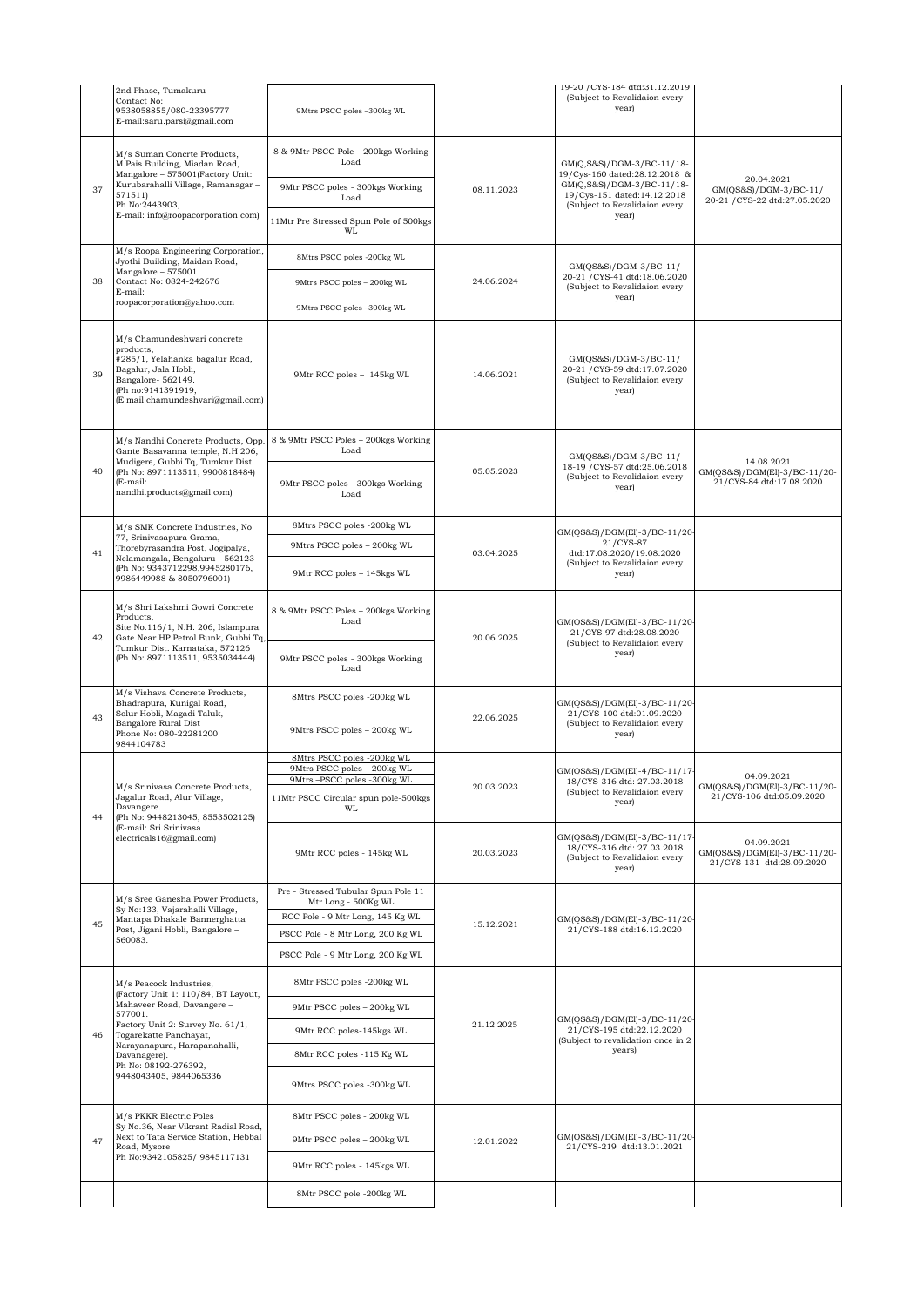|    | 2nd Phase, Tumakuru<br>Contact No:<br>9538058855/080-23395777<br>E-mail:saru.parsi@gmail.com                                                                                                                                                                            | 9Mtrs PSCC poles -300kg WL                                                                 |            | 19-20 / CYS-184 dtd:31.12.2019<br>(Subject to Revalidaion every<br>year)                                                                                         |                                                                         |
|----|-------------------------------------------------------------------------------------------------------------------------------------------------------------------------------------------------------------------------------------------------------------------------|--------------------------------------------------------------------------------------------|------------|------------------------------------------------------------------------------------------------------------------------------------------------------------------|-------------------------------------------------------------------------|
| 37 | M/s Suman Concrte Products,<br>M.Pais Building, Miadan Road,<br>Mangalore - 575001(Factory Unit:<br>Kurubarahalli Village, Ramanagar -<br>571511)<br>Ph No:2443903,<br>E-mail: info@roopacorporation.com)                                                               | 8 & 9Mtr PSCC Pole - 200kgs Working<br>Load                                                | 08.11.2023 | GM(Q,S&S)/DGM-3/BC-11/18-<br>19/Cys-160 dated:28.12.2018 &<br>GM(Q,S&S)/DGM-3/BC-11/18-<br>19/Cys-151 dated:14.12.2018<br>(Subject to Revalidaion every<br>year) |                                                                         |
|    |                                                                                                                                                                                                                                                                         | 9Mtr PSCC poles - 300kgs Working<br>Load                                                   |            |                                                                                                                                                                  | 20.04.2021<br>GM(QS&S)/DGM-3/BC-11/<br>20-21 / CYS-22 dtd:27.05.2020    |
|    |                                                                                                                                                                                                                                                                         | 11Mtr Pre Stressed Spun Pole of 500kgs<br>WL                                               |            |                                                                                                                                                                  |                                                                         |
| 38 | M/s Roopa Engineering Corporation,<br>Jyothi Building, Maidan Road,<br>Mangalore - 575001<br>Contact No: 0824-242676<br>E-mail:                                                                                                                                         | 8Mtrs PSCC poles -200kg WL                                                                 | 24.06.2024 | GM(QS&S)/DGM-3/BC-11/<br>20-21 / CYS-41 dtd:18.06.2020<br>(Subject to Revalidaion every<br>year)                                                                 |                                                                         |
|    |                                                                                                                                                                                                                                                                         | 9Mtrs PSCC poles - 200kg WL                                                                |            |                                                                                                                                                                  |                                                                         |
|    | roopacorporation@yahoo.com                                                                                                                                                                                                                                              | 9Mtrs PSCC poles -300kg WL                                                                 |            |                                                                                                                                                                  |                                                                         |
| 39 | M/s Chamundeshwari concrete<br>products,<br>#285/1, Yelahanka bagalur Road,<br>Bagalur, Jala Hobli,<br>Bangalore-562149.<br>(Ph no:9141391919,<br>(E mail:chamundeshvari@gmail.com)                                                                                     | 9Mtr RCC poles - 145kg WL                                                                  | 14.06.2021 | GM(QS&S)/DGM-3/BC-11/<br>20-21 / CYS-59 dtd:17.07.2020<br>(Subject to Revalidaion every<br>year)                                                                 |                                                                         |
|    | M/s Nandhi Concrete Products, Opp.<br>Gante Basavanna temple, N.H 206,                                                                                                                                                                                                  | 8 & 9Mtr PSCC Poles - 200kgs Working<br>Load                                               |            |                                                                                                                                                                  |                                                                         |
| 40 | Mudigere, Gubbi Tq, Tumkur Dist.<br>(Ph No: 8971113511, 9900818484)<br>(E-mail:<br>nandhi.products@gmail.com)                                                                                                                                                           | 9Mtr PSCC poles - 300kgs Working<br>Load                                                   | 05.05.2023 | GM(QS&S)/DGM-3/BC-11/<br>18-19 / CYS-57 dtd:25.06.2018<br>(Subject to Revalidaion every<br>year)                                                                 | 14.08.2021<br>GM(QS&S)/DGM(El)-3/BC-11/20-<br>21/CYS-84 dtd:17.08.2020  |
|    | M/s SMK Concrete Industries, No<br>77, Srinivasapura Grama,                                                                                                                                                                                                             | 8Mtrs PSCC poles -200kg WL                                                                 | 03.04.2025 | GM(QS&S)/DGM(El)-3/BC-11/20-<br>21/CYS-87<br>dtd:17.08.2020/19.08.2020<br>(Subject to Revalidaion every                                                          |                                                                         |
| 41 | Thorebyrasandra Post, Jogipalya,<br>Nelamangala, Bengaluru - 562123<br>(Ph No: 9343712298,9945280176,                                                                                                                                                                   | 9Mtrs PSCC poles - 200kg WL                                                                |            |                                                                                                                                                                  |                                                                         |
|    | 9986449988 & 8050796001)                                                                                                                                                                                                                                                | 9Mtr RCC poles - 145kgs WL                                                                 |            | year)                                                                                                                                                            |                                                                         |
| 42 | M/s Shri Lakshmi Gowri Concrete<br>Products,<br>Site No.116/1, N.H. 206, Islampura<br>Gate Near HP Petrol Bunk, Gubbi Tq,<br>Tumkur Dist. Karnataka, 572126<br>(Ph No: 8971113511, 9535034444)                                                                          | 8 & 9Mtr PSCC Poles - 200kgs Working<br>Load                                               | 20.06.2025 | GM(QS&S)/DGM(El)-3/BC-11/20-<br>21/CYS-97 dtd:28.08.2020<br>(Subject to Revalidaion every<br>year)                                                               |                                                                         |
|    |                                                                                                                                                                                                                                                                         | 9Mtr PSCC poles - 300kgs Working<br>Load                                                   |            |                                                                                                                                                                  |                                                                         |
|    | M/s Vishava Concrete Products,<br>Bhadrapura, Kunigal Road,<br>Solur Hobli, Magadi Taluk,<br>Bangalore Rural Dist<br>Phone No: 080-22281200<br>9844104783                                                                                                               | 8Mtrs PSCC poles -200kg WL                                                                 |            | GM(QS&S)/DGM(El)-3/BC-11/20-                                                                                                                                     |                                                                         |
| 43 |                                                                                                                                                                                                                                                                         | 9Mtrs PSCC poles - 200kg WL                                                                | 22.06.2025 | 21/CYS-100 dtd:01.09.2020<br>(Subject to Revalidaion every<br>year)                                                                                              |                                                                         |
|    | M/s Srinivasa Concrete Products,<br>Jagalur Road, Alur Village,<br>Davangere.<br>(Ph No: 9448213045, 8553502125)<br>(E-mail: Sri Srinivasa<br>electricals16@gmail.com)                                                                                                  | 8Mtrs PSCC poles -200kg WL<br>9Mtrs PSCC poles - 200kg WL<br>9Mtrs – PSCC poles - 300kg WL | 20.03.2023 | GM(QS&S)/DGM(El)-4/BC-11/17-<br>18/CYS-316 dtd: 27.03.2018<br>(Subject to Revalidaion every<br>year)                                                             | 04.09.2021                                                              |
| 44 |                                                                                                                                                                                                                                                                         | 11Mtr PSCC Circular spun pole-500kgs<br>WL                                                 |            |                                                                                                                                                                  | GM(QS&S)/DGM(El)-3/BC-11/20-<br>21/CYS-106 dtd:05.09.2020               |
|    |                                                                                                                                                                                                                                                                         | 9Mtr RCC poles - 145kg WL                                                                  | 20.03.2023 | GM(QS&S)/DGM(El)-3/BC-11/17-<br>18/CYS-316 dtd: 27.03.2018<br>(Subject to Revalidaion every<br>year)                                                             | 04.09.2021<br>GM(QS&S)/DGM(El)-3/BC-11/20-<br>21/CYS-131 dtd:28.09.2020 |
|    | M/s Sree Ganesha Power Products,<br>Sy No:133, Vajarahalli Village,<br>Mantapa Dhakale Bannerghatta<br>Post, Jigani Hobli, Bangalore -<br>560083.                                                                                                                       | Pre - Stressed Tubular Spun Pole 11<br>Mtr Long - 500Kg WL                                 |            | GM(QS&S)/DGM(El)-3/BC-11/20-<br>21/CYS-188 dtd:16.12.2020                                                                                                        |                                                                         |
| 45 |                                                                                                                                                                                                                                                                         | RCC Pole - 9 Mtr Long, 145 Kg WL<br>PSCC Pole - 8 Mtr Long, 200 Kg WL                      | 15.12.2021 |                                                                                                                                                                  |                                                                         |
|    |                                                                                                                                                                                                                                                                         | PSCC Pole - 9 Mtr Long, 200 Kg WL                                                          |            |                                                                                                                                                                  |                                                                         |
| 46 | M/s Peacock Industries,<br>(Factory Unit 1: 110/84, BT Layout,<br>Mahaveer Road, Davangere -<br>577001.<br>Factory Unit 2: Survey No. 61/1,<br>Togarekatte Panchayat,<br>Narayanapura, Harapanahalli,<br>Davanagere).<br>Ph No: 08192-276392,<br>9448043405, 9844065336 | 8Mtr PSCC poles -200kg WL                                                                  | 21.12.2025 | GM(QS&S)/DGM(El)-3/BC-11/20-<br>21/CYS-195 dtd:22.12.2020<br>(Subject to revalidation once in 2                                                                  |                                                                         |
|    |                                                                                                                                                                                                                                                                         | 9Mtr PSCC poles - 200kg WL                                                                 |            |                                                                                                                                                                  |                                                                         |
|    |                                                                                                                                                                                                                                                                         | 9Mtr RCC poles-145kgs WL                                                                   |            |                                                                                                                                                                  |                                                                         |
|    |                                                                                                                                                                                                                                                                         | 8Mtr RCC poles -115 Kg WL                                                                  |            | years)                                                                                                                                                           |                                                                         |
|    |                                                                                                                                                                                                                                                                         | 9Mtrs PSCC poles -300kg WL                                                                 |            |                                                                                                                                                                  |                                                                         |
|    | M/s PKKR Electric Poles<br>Sy No.36, Near Vikrant Radial Road,<br>Next to Tata Service Station, Hebbal<br>Road, Mysore<br>Ph No:9342105825/ 9845117131                                                                                                                  | 8Mtr PSCC poles - 200kg WL                                                                 |            |                                                                                                                                                                  |                                                                         |
| 47 |                                                                                                                                                                                                                                                                         | 9Mtr PSCC poles - 200kg WL                                                                 | 12.01.2022 | GM(QS&S)/DGM(El)-3/BC-11/20-<br>21/CYS-219 dtd:13.01.2021                                                                                                        |                                                                         |
|    |                                                                                                                                                                                                                                                                         | 9Mtr RCC poles - 145kgs WL                                                                 |            |                                                                                                                                                                  |                                                                         |
|    |                                                                                                                                                                                                                                                                         | 8Mtr PSCC pole -200kg WL                                                                   |            |                                                                                                                                                                  |                                                                         |